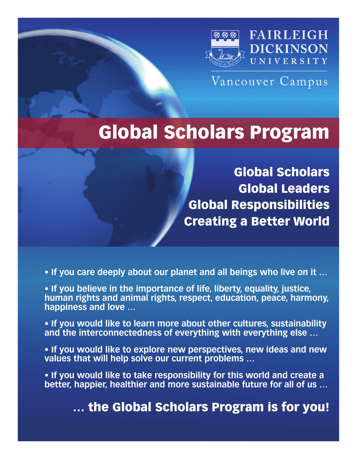

Vancouver Campus

# **Global Scholars Program**

**Global Scholars Global Leaders Global Responsibilities Creating a Better World**

**• If you care deeply about our planet and all beings who live on it …**

**• If you believe in the importance of life, liberty, equality, justice, human rights and animal rights, respect, education, peace, harmony, happiness and love …**

**• If you would like to learn more about other cultures, sustainability and the interconnectedness of everything with everything else …**

**• If you would like to explore new perspectives, new ideas and new values that will help solve our current problems …**

**• If you would like to take responsibility for this world and create a better, happier, healthier and more sustainable future for all of us …**

**… the Global Scholars Program is for you!**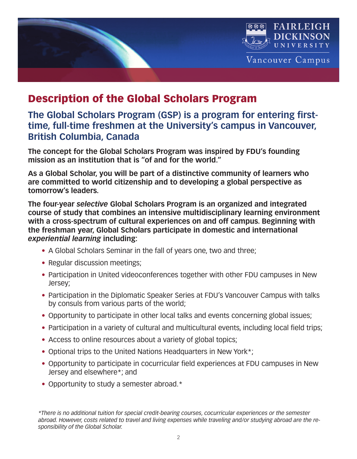

# **Description of the Global Scholars Program**

#### **The Global Scholars Program (GSP) is a program for entering firsttime, full-time freshmen at the University's campus in Vancouver, British Columbia, Canada**

**The concept for the Global Scholars Program was inspired by FDU's founding mission as an institution that is "of and for the world."**

**As a Global Scholar, you will be part of a distinctive community of learners who are committed to world citizenship and to developing a global perspective as tomorrow's leaders.**

**The four-year** *selective* **Global Scholars Program is an organized and integrated course of study that combines an intensive multidisciplinary learning environment with a cross-spectrum of cultural experiences on and off campus. Beginning with the freshman year, Global Scholars participate in domestic and international** *experiential learning* **including:**

- A Global Scholars Seminar in the fall of years one, two and three;
- Regular discussion meetings;
- Participation in United videoconferences together with other FDU campuses in New Jersey;
- Participation in the Diplomatic Speaker Series at FDU's Vancouver Campus with talks by consuls from various parts of the world;
- Opportunity to participate in other local talks and events concerning global issues;
- Participation in a variety of cultural and multicultural events, including local field trips;
- Access to online resources about a variety of global topics;
- Optional trips to the United Nations Headquarters in New York\*;
- Opportunity to participate in cocurricular field experiences at FDU campuses in New Jersey and elsewhere\*; and
- Opportunity to study a semester abroad.\*

*\*There is no additional tuition for special credit-bearing courses, cocurricular experiences or the semester* abroad. However, costs related to travel and living expenses while traveling and/or studying abroad are the re*sponsibility of the Global Scholar.*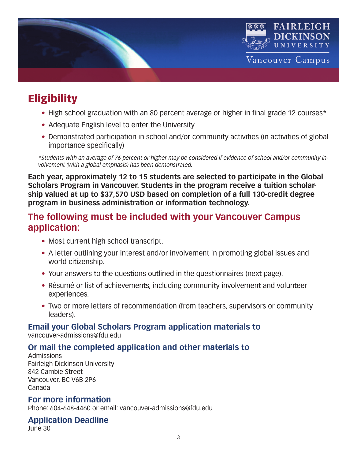

# **Eligibility**

- High school graduation with an 80 percent average or higher in final grade 12 courses\*
- Adequate English level to enter the University
- Demonstrated participation in school and/or community activities (in activities of global importance specifically)

\*Students with an average of 76 percent or higher may be considered if evidence of school and/or community in*volvement (with a global emphasis) has been demonstrated.*

**Each year, approximately 12 to 15 students are selected to participate in the Global Scholars Program in Vancouver. Students in the program receive a tuition scholarship valued at up to \$37,570 USD based on completion of a full 130-credit degree program in business administration or information technology.**

#### **The following must be included with your Vancouver Campus application:**

- Most current high school transcript.
- A letter outlining your interest and/or involvement in promoting global issues and world citizenship.
- Your answers to the questions outlined in the questionnaires (next page).
- Résumé or list of achievements, including community involvement and volunteer experiences.
- Two or more letters of recommendation (from teachers, supervisors or community leaders).

#### **Email your Global Scholars Program application materials to**

vancouver-admissions@fdu.edu

#### **Or mail the completed application and other materials to**

Admissions Fairleigh Dickinson University 842 Cambie Street Vancouver, BC V6B 2P6 Canada

#### **For more information**

Phone: 604-648-4460 or email: vancouver-admissions@fdu.edu

#### **Application Deadline**

June 30